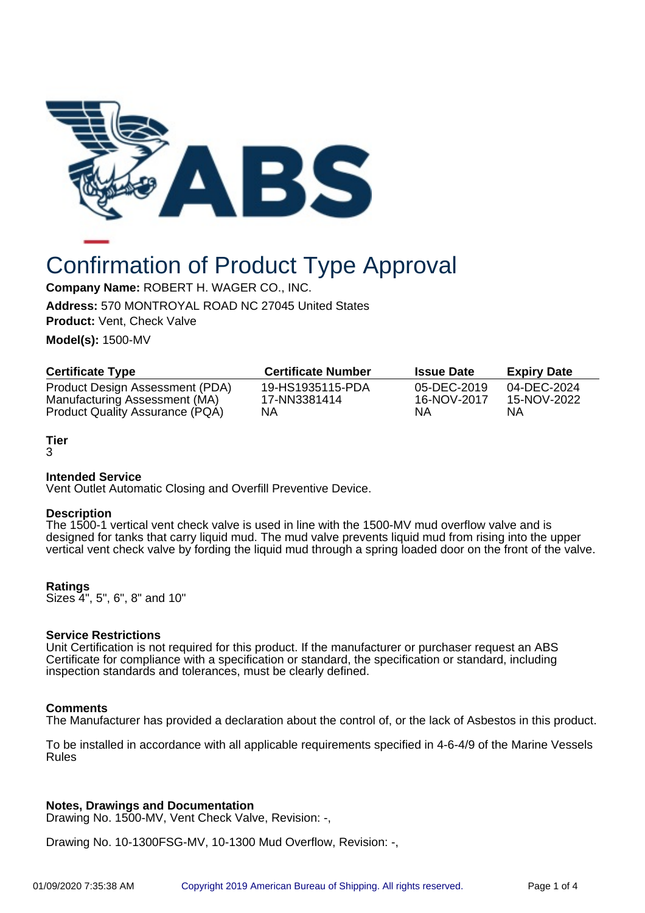

# Confirmation of Product Type Approval

**Company Name:** ROBERT H. WAGER CO., INC.

**Address:** 570 MONTROYAL ROAD NC 27045 United States

**Product:** Vent, Check Valve

**Model(s):** 1500-MV

| <b>Certificate Type</b>                | <b>Certificate Number</b> | <b>Issue Date</b> | <b>Expiry Date</b> |
|----------------------------------------|---------------------------|-------------------|--------------------|
| Product Design Assessment (PDA)        | 19-HS1935115-PDA          | 05-DEC-2019       | 04-DEC-2024        |
| Manufacturing Assessment (MA)          | 17-NN3381414              | 16-NOV-2017       | 15-NOV-2022        |
| <b>Product Quality Assurance (PQA)</b> | NΑ                        | NA                | ΝA                 |

# **Tier**

3

# **Intended Service**

Vent Outlet Automatic Closing and Overfill Preventive Device.

#### **Description**

The 1500-1 vertical vent check valve is used in line with the 1500-MV mud overflow valve and is designed for tanks that carry liquid mud. The mud valve prevents liquid mud from rising into the upper vertical vent check valve by fording the liquid mud through a spring loaded door on the front of the valve.

# **Ratings**

Sizes 4", 5", 6", 8" and 10"

# **Service Restrictions**

Unit Certification is not required for this product. If the manufacturer or purchaser request an ABS Certificate for compliance with a specification or standard, the specification or standard, including inspection standards and tolerances, must be clearly defined.

#### **Comments**

The Manufacturer has provided a declaration about the control of, or the lack of Asbestos in this product.

To be installed in accordance with all applicable requirements specified in 4-6-4/9 of the Marine Vessels Rules

#### **Notes, Drawings and Documentation**

Drawing No. 1500-MV, Vent Check Valve, Revision: -,

Drawing No. 10-1300FSG-MV, 10-1300 Mud Overflow, Revision: -,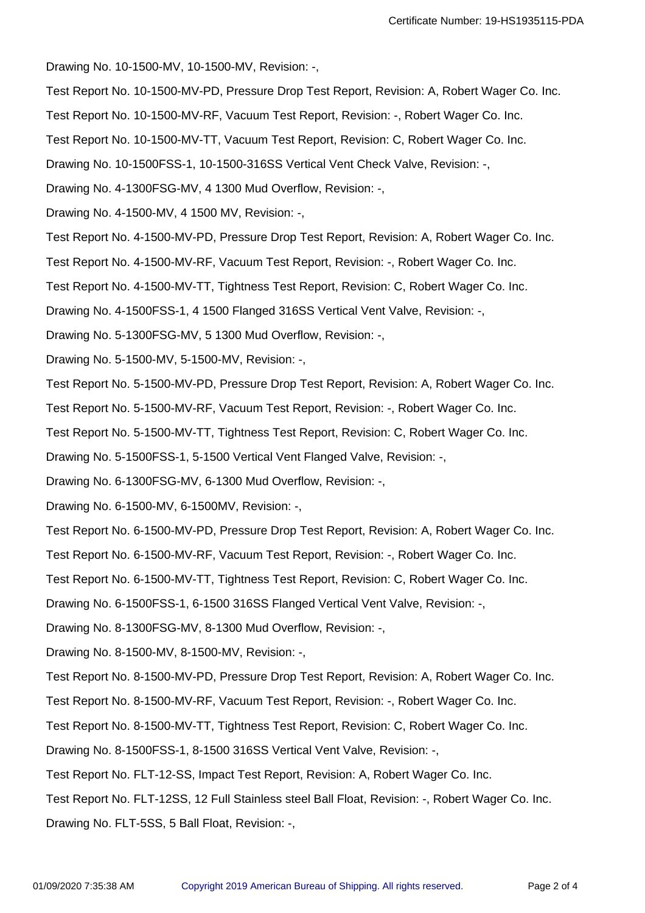Drawing No. 10-1500-MV, 10-1500-MV, Revision: -,

- Test Report No. 10-1500-MV-PD, Pressure Drop Test Report, Revision: A, Robert Wager Co. Inc.
- Test Report No. 10-1500-MV-RF, Vacuum Test Report, Revision: -, Robert Wager Co. Inc.
- Test Report No. 10-1500-MV-TT, Vacuum Test Report, Revision: C, Robert Wager Co. Inc.
- Drawing No. 10-1500FSS-1, 10-1500-316SS Vertical Vent Check Valve, Revision: -,
- Drawing No. 4-1300FSG-MV, 4 1300 Mud Overflow, Revision: -,
- Drawing No. 4-1500-MV, 4 1500 MV, Revision: -,
- Test Report No. 4-1500-MV-PD, Pressure Drop Test Report, Revision: A, Robert Wager Co. Inc.
- Test Report No. 4-1500-MV-RF, Vacuum Test Report, Revision: -, Robert Wager Co. Inc.
- Test Report No. 4-1500-MV-TT, Tightness Test Report, Revision: C, Robert Wager Co. Inc.
- Drawing No. 4-1500FSS-1, 4 1500 Flanged 316SS Vertical Vent Valve, Revision: -,
- Drawing No. 5-1300FSG-MV, 5 1300 Mud Overflow, Revision: -,
- Drawing No. 5-1500-MV, 5-1500-MV, Revision: -,
- Test Report No. 5-1500-MV-PD, Pressure Drop Test Report, Revision: A, Robert Wager Co. Inc.
- Test Report No. 5-1500-MV-RF, Vacuum Test Report, Revision: -, Robert Wager Co. Inc.
- Test Report No. 5-1500-MV-TT, Tightness Test Report, Revision: C, Robert Wager Co. Inc.
- Drawing No. 5-1500FSS-1, 5-1500 Vertical Vent Flanged Valve, Revision: -,
- Drawing No. 6-1300FSG-MV, 6-1300 Mud Overflow, Revision: -,
- Drawing No. 6-1500-MV, 6-1500MV, Revision: -,
- Test Report No. 6-1500-MV-PD, Pressure Drop Test Report, Revision: A, Robert Wager Co. Inc.
- Test Report No. 6-1500-MV-RF, Vacuum Test Report, Revision: -, Robert Wager Co. Inc.
- Test Report No. 6-1500-MV-TT, Tightness Test Report, Revision: C, Robert Wager Co. Inc.
- Drawing No. 6-1500FSS-1, 6-1500 316SS Flanged Vertical Vent Valve, Revision: -,
- Drawing No. 8-1300FSG-MV, 8-1300 Mud Overflow, Revision: -,
- Drawing No. 8-1500-MV, 8-1500-MV, Revision: -,
- Test Report No. 8-1500-MV-PD, Pressure Drop Test Report, Revision: A, Robert Wager Co. Inc.
- Test Report No. 8-1500-MV-RF, Vacuum Test Report, Revision: -, Robert Wager Co. Inc.
- Test Report No. 8-1500-MV-TT, Tightness Test Report, Revision: C, Robert Wager Co. Inc.
- Drawing No. 8-1500FSS-1, 8-1500 316SS Vertical Vent Valve, Revision: -,
- Test Report No. FLT-12-SS, Impact Test Report, Revision: A, Robert Wager Co. Inc.
- Test Report No. FLT-12SS, 12 Full Stainless steel Ball Float, Revision: -, Robert Wager Co. Inc.
- Drawing No. FLT-5SS, 5 Ball Float, Revision: -,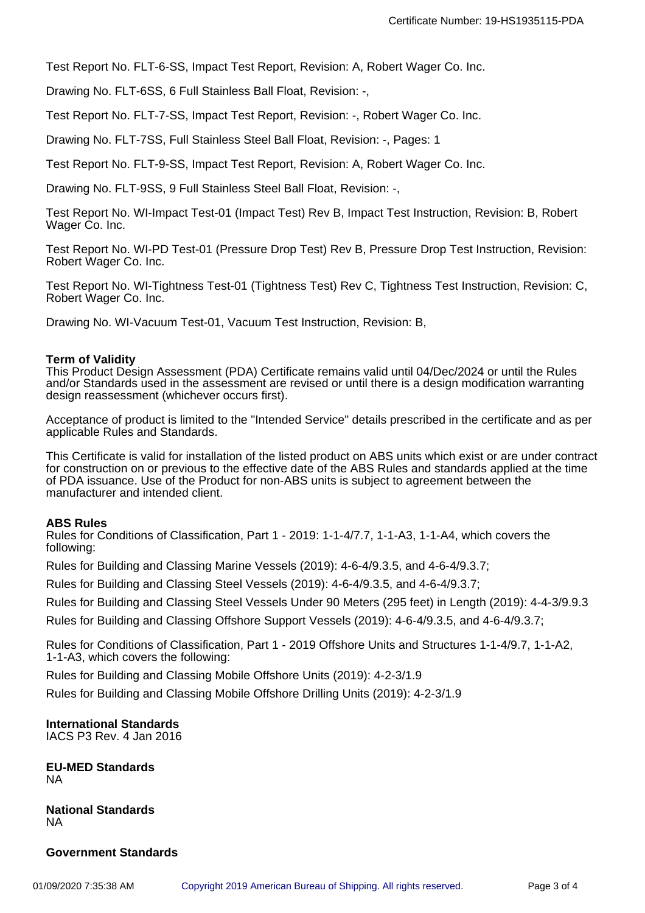Test Report No. FLT-6-SS, Impact Test Report, Revision: A, Robert Wager Co. Inc.

Drawing No. FLT-6SS, 6 Full Stainless Ball Float, Revision: -,

Test Report No. FLT-7-SS, Impact Test Report, Revision: -, Robert Wager Co. Inc.

Drawing No. FLT-7SS, Full Stainless Steel Ball Float, Revision: -, Pages: 1

Test Report No. FLT-9-SS, Impact Test Report, Revision: A, Robert Wager Co. Inc.

Drawing No. FLT-9SS, 9 Full Stainless Steel Ball Float, Revision: -,

Test Report No. WI-Impact Test-01 (Impact Test) Rev B, Impact Test Instruction, Revision: B, Robert Wager Co. Inc.

Test Report No. WI-PD Test-01 (Pressure Drop Test) Rev B, Pressure Drop Test Instruction, Revision: Robert Wager Co. Inc.

Test Report No. WI-Tightness Test-01 (Tightness Test) Rev C, Tightness Test Instruction, Revision: C, Robert Wager Co. Inc.

Drawing No. WI-Vacuum Test-01, Vacuum Test Instruction, Revision: B,

#### **Term of Validity**

This Product Design Assessment (PDA) Certificate remains valid until 04/Dec/2024 or until the Rules and/or Standards used in the assessment are revised or until there is a design modification warranting design reassessment (whichever occurs first).

Acceptance of product is limited to the "Intended Service" details prescribed in the certificate and as per applicable Rules and Standards.

This Certificate is valid for installation of the listed product on ABS units which exist or are under contract for construction on or previous to the effective date of the ABS Rules and standards applied at the time of PDA issuance. Use of the Product for non-ABS units is subject to agreement between the manufacturer and intended client.

#### **ABS Rules**

Rules for Conditions of Classification, Part 1 - 2019: 1-1-4/7.7, 1-1-A3, 1-1-A4, which covers the following:

Rules for Building and Classing Marine Vessels (2019): 4-6-4/9.3.5, and 4-6-4/9.3.7;

Rules for Building and Classing Steel Vessels (2019): 4-6-4/9.3.5, and 4-6-4/9.3.7;

Rules for Building and Classing Steel Vessels Under 90 Meters (295 feet) in Length (2019): 4-4-3/9.9.3

Rules for Building and Classing Offshore Support Vessels (2019): 4-6-4/9.3.5, and 4-6-4/9.3.7;

Rules for Conditions of Classification, Part 1 - 2019 Offshore Units and Structures 1-1-4/9.7, 1-1-A2, 1-1-A3, which covers the following:

Rules for Building and Classing Mobile Offshore Units (2019): 4-2-3/1.9

Rules for Building and Classing Mobile Offshore Drilling Units (2019): 4-2-3/1.9

# **International Standards**

IACS P3 Rev. 4 Jan 2016

**EU-MED Standards** NA

**National Standards** NA

#### **Government Standards**